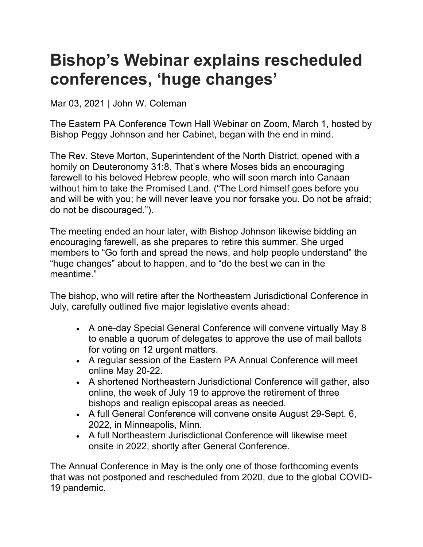## **Bishop's Webinar explains rescheduled conferences, 'huge changes'**

Mar 03, 2021 | John W. Coleman

The Eastern PA Conference Town Hall Webinar on Zoom, March 1, hosted by Bishop Peggy Johnson and her Cabinet, began with the end in mind.

The Rev. Steve Morton, Superintendent of the North District, opened with a homily on Deuteronomy 31:8. That's where Moses bids an encouraging farewell to his beloved Hebrew people, who will soon march into Canaan without him to take the Promised Land. ("The Lord himself goes before you and will be with you; he will never leave you nor forsake you. Do not be afraid; do not be discouraged.").

The meeting ended an hour later, with Bishop Johnson likewise bidding an encouraging farewell, as she prepares to retire this summer. She urged members to "Go forth and spread the news, and help people understand" the "huge changes" about to happen, and to "do the best we can in the meantime."

The bishop, who will retire after the Northeastern Jurisdictional Conference in July, carefully outlined five major legislative events ahead:

- A one-day Special General Conference will convene virtually May 8 to enable a quorum of delegates to approve the use of mail ballots for voting on 12 urgent matters.
- A regular session of the Eastern PA Annual Conference will meet online May 20-22.
- A shortened Northeastern Jurisdictional Conference will gather, also online, the week of July 19 to approve the retirement of three bishops and realign episcopal areas as needed.
- A full General Conference will convene onsite August 29-Sept. 6, 2022, in Minneapolis, Minn.
- A full Northeastern Jurisdictional Conference will likewise meet onsite in 2022, shortly after General Conference.

The Annual Conference in May is the only one of those forthcoming events that was not postponed and rescheduled from 2020, due to the global COVID-19 pandemic.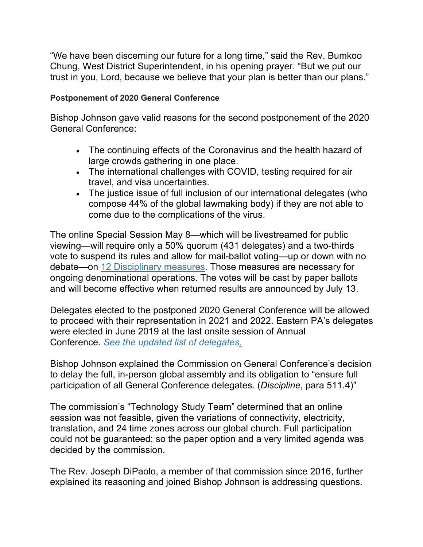"We have been discerning our future for a long time," said the Rev. Bumkoo Chung, West District Superintendent, in his opening prayer. "But we put our trust in you, Lord, because we believe that your plan is better than our plans."

## **Postponement of 2020 General Conference**

Bishop Johnson gave valid reasons for the second postponement of the 2020 General Conference:

- The continuing effects of the Coronavirus and the health hazard of large crowds gathering in one place.
- The international challenges with COVID, testing required for air travel, and visa uncertainties.
- The justice issue of full inclusion of our international delegates (who compose 44% of the global lawmaking body) if they are not able to come due to the complications of the virus.

The online Special Session May 8—which will be livestreamed for public viewing—will require only a 50% quorum (431 delegates) and a two-thirds vote to suspend its rules and allow for mail-ballot voting—up or down with no debate—on 12 Disciplinary measures. Those measures are necessary for ongoing denominational operations. The votes will be cast by paper ballots and will become effective when returned results are announced by July 13.

Delegates elected to the postponed 2020 General Conference will be allowed to proceed with their representation in 2021 and 2022. Eastern PA's delegates were elected in June 2019 at the last onsite session of Annual Conference. *See the updated list of delegates*.

Bishop Johnson explained the Commission on General Conference's decision to delay the full, in-person global assembly and its obligation to "ensure full participation of all General Conference delegates. (*Discipline*, para 511.4)"

The commission's "Technology Study Team" determined that an online session was not feasible, given the variations of connectivity, electricity, translation, and 24 time zones across our global church. Full participation could not be guaranteed; so the paper option and a very limited agenda was decided by the commission.

The Rev. Joseph DiPaolo, a member of that commission since 2016, further explained its reasoning and joined Bishop Johnson is addressing questions.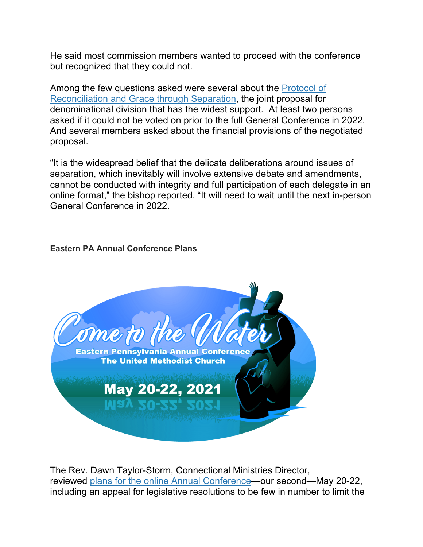He said most commission members wanted to proceed with the conference but recognized that they could not.

Among the few questions asked were several about the Protocol of Reconciliation and Grace through Separation, the joint proposal for denominational division that has the widest support. At least two persons asked if it could not be voted on prior to the full General Conference in 2022. And several members asked about the financial provisions of the negotiated proposal.

"It is the widespread belief that the delicate deliberations around issues of separation, which inevitably will involve extensive debate and amendments, cannot be conducted with integrity and full participation of each delegate in an online format," the bishop reported. "It will need to wait until the next in-person General Conference in 2022.

## **Eastern PA Annual Conference Plans**



The Rev. Dawn Taylor-Storm, Connectional Ministries Director, reviewed plans for the online Annual Conference—our second—May 20-22, including an appeal for legislative resolutions to be few in number to limit the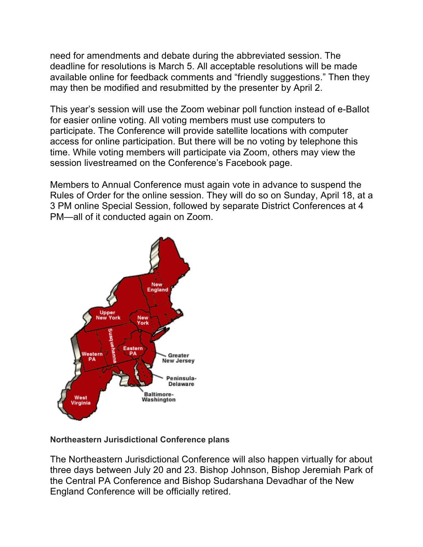need for amendments and debate during the abbreviated session. The deadline for resolutions is March 5. All acceptable resolutions will be made available online for feedback comments and "friendly suggestions." Then they may then be modified and resubmitted by the presenter by April 2.

This year's session will use the Zoom webinar poll function instead of e-Ballot for easier online voting. All voting members must use computers to participate. The Conference will provide satellite locations with computer access for online participation. But there will be no voting by telephone this time. While voting members will participate via Zoom, others may view the session livestreamed on the Conference's Facebook page.

Members to Annual Conference must again vote in advance to suspend the Rules of Order for the online session. They will do so on Sunday, April 18, at a 3 PM online Special Session, followed by separate District Conferences at 4 PM—all of it conducted again on Zoom.



## **Northeastern Jurisdictional Conference plans**

The Northeastern Jurisdictional Conference will also happen virtually for about three days between July 20 and 23. Bishop Johnson, Bishop Jeremiah Park of the Central PA Conference and Bishop Sudarshana Devadhar of the New England Conference will be officially retired.